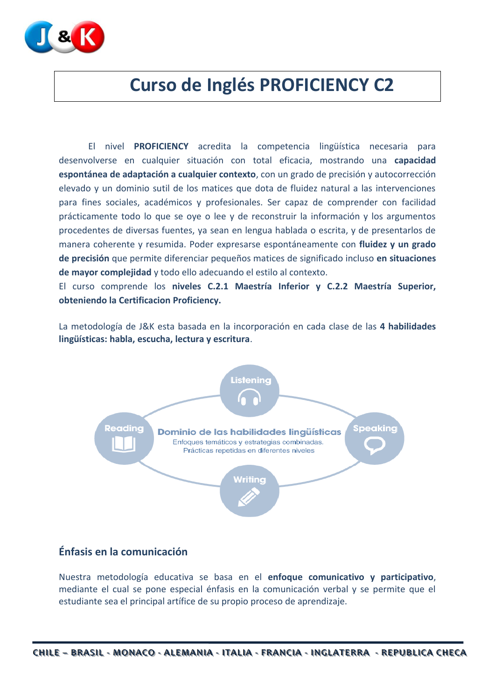

# **Curso de Inglés PROFICIENCY C2**

El nivel **PROFICIENCY** acredita la competencia lingüística necesaria para desenvolverse en cualquier situación con total eficacia, mostrando una **capacidad espontánea de adaptación a cualquier contexto**, con un grado de precisión y autocorrección elevado y un dominio sutil de los matices que dota de fluidez natural a las intervenciones para fines sociales, académicos y profesionales. Ser capaz de comprender con facilidad prácticamente todo lo que se oye o lee y de reconstruir la información y los argumentos procedentes de diversas fuentes, ya sean en lengua hablada o escrita, y de presentarlos de manera coherente y resumida. Poder expresarse espontáneamente con **fluidez y un grado de precisión** que permite diferenciar pequeños matices de significado incluso **en situaciones de mayor complejidad** y todo ello adecuando el estilo al contexto.

El curso comprende los **niveles C.2.1 Maestría Inferior y C.2.2 Maestría Superior, obteniendo la Certificacion Proficiency.**

La metodología de J&K esta basada en la incorporación en cada clase de las **4 habilidades lingüísticas: habla, escucha, lectura y escritura**.



### **Énfasis en la comunicación**

Nuestra metodología educativa se basa en el **enfoque comunicativo y participativo**, mediante el cual se pone especial énfasis en la comunicación verbal y se permite que el estudiante sea el principal artífice de su propio proceso de aprendizaje.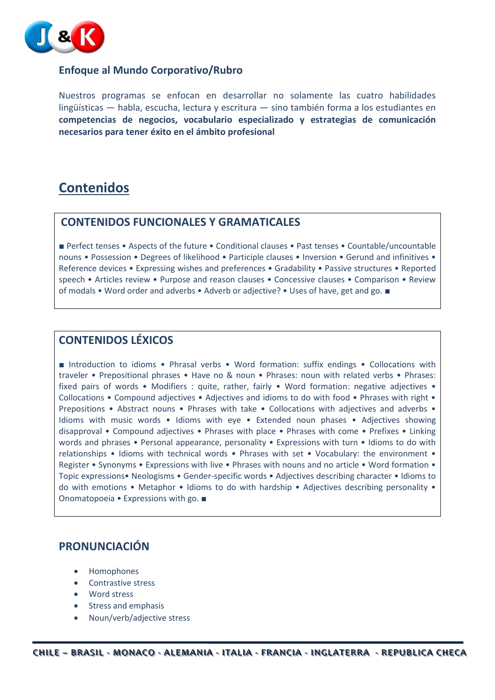

#### **Enfoque al Mundo Corporativo/Rubro**

Nuestros programas se enfocan en desarrollar no solamente las cuatro habilidades lingüísticas — habla, escucha, lectura y escritura — sino también forma a los estudiantes en **competencias de negocios, vocabulario especializado y estrategias de comunicación necesarios para tener éxito en el ámbito profesional**

# **Contenidos**

### **CONTENIDOS FUNCIONALES Y GRAMATICALES**

■ Perfect tenses • Aspects of the future • Conditional clauses • Past tenses • Countable/uncountable nouns • Possession • Degrees of likelihood • Participle clauses • Inversion • Gerund and infinitives • Reference devices • Expressing wishes and preferences • Gradability • Passive structures • Reported speech • Articles review • Purpose and reason clauses • Concessive clauses • Comparison • Review of modals • Word order and adverbs • Adverb or adjective? • Uses of have, get and go. ■

### **CONTENIDOS LÉXICOS**

■ Introduction to idioms • Phrasal verbs • Word formation: suffix endings • Collocations with traveler • Prepositional phrases • Have no & noun • Phrases: noun with related verbs • Phrases: fixed pairs of words • Modifiers : quite, rather, fairly • Word formation: negative adjectives • Collocations • Compound adjectives • Adjectives and idioms to do with food • Phrases with right • Prepositions • Abstract nouns • Phrases with take • Collocations with adjectives and adverbs • Idioms with music words • Idioms with eye • Extended noun phases • Adjectives showing disapproval • Compound adjectives • Phrases with place • Phrases with come • Prefixes • Linking words and phrases • Personal appearance, personality • Expressions with turn • Idioms to do with relationships • Idioms with technical words • Phrases with set • Vocabulary: the environment • Register • Synonyms • Expressions with live • Phrases with nouns and no article • Word formation • Topic expressions• Neologisms • Gender-specific words • Adjectives describing character • Idioms to do with emotions • Metaphor • Idioms to do with hardship • Adjectives describing personality • Onomatopoeia • Expressions with go. ■

## **PRONUNCIACIÓN**

- Homophones
- Contrastive stress
- Word stress
- Stress and emphasis
- Noun/verb/adjective stress